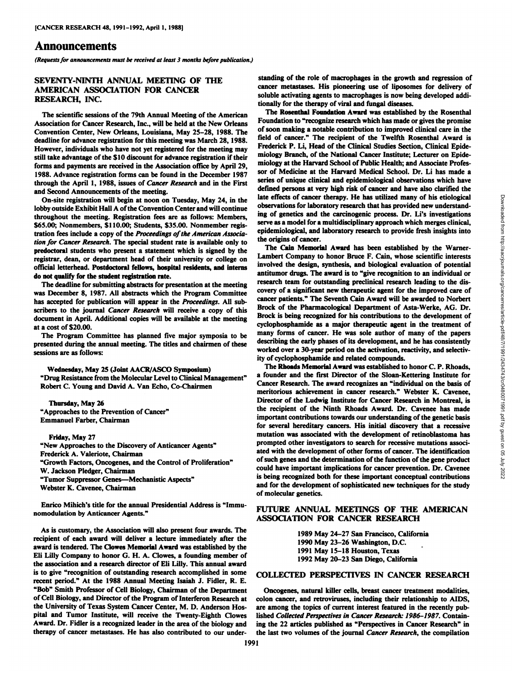# Announcements

*(Requests for announcements must be received at least 3 months before publication.)*

## **SEVENTY-NINTH ANNUAL MEETING OF THE AMERICAN ASSOCIATION FOR CANCER RESEARCH, INC.**

The scientific sessions of the 79th Annual Meeting of the American Association for Cancer Research, Inc., will be held at the New Orleans Convention Center, New Orleans, Louisiana, May 25-28, 1988. The deadline for advance registration for this meeting was March 28, 1988. However, individuals who have not yet registered for the meeting may still take advantage of the \$10 discount for advance registration if their forms and payments are received in the Association office by April 29, 1988. Advance registration forms can be found in the December 1987 through the April 1, 1988, issues of Cancer Research and in the First and Second Announcements of the meeting.

On-site registration will begin at noon on Tuesday, May 24, in the lobby outside Exhibit Hall A of the Convention Center and will continue throughout the meeting. Registration fees are as follows: Members, \$65.00; Nonmembers, \$110.00; Students, \$35.00. Nonmember regis tration fees include a copy of the Proceedings of the American Associa*tion for Cancer Research. The special student rate is available only to* predoctoral students who present a statement which is signed by the registrar, dean, or department head of their university or college on do not qualify for the student registration rate.

The deadline for submitting abstracts for presentation at the meeting has accepted for publication will appear in the *Proceedings*. All subscribers to the journal Cancer Research will receive a copy of this document in April. Additional copies will be available at the meeting at a cost of \$20.00.

The Program Committee has planned five major symposia to be presented during the annual meeting. The titles and chairmen of these sessions are as follows:

Wednesday, May 25 (Joint AACR/ASCO Symposium)<br>"Drug Resistance from the Molecular Level to Clinical Management" Robert C. Young and David A. Van Echo, Co-Chairmen

#### **Thursday, May 26** "Approaches to the Prevention of Cancer" Emmanuel Farber, Chairman

**Friday, May 27** "New Approaches to the Discovery of Anticancer Agents" Frederick A. Valeriote, Chairman "Growth Factors, Oncogenes, and the Control of Proliferation" W. Jackson Pledger, Chairman "Tumor Suppressor Genes—Mechanistic Aspects" Webster K. Cavenee, Chairman

Enrico Mihich's title for the annual Presidential Address is "Immunomodulation by Anticancer Agents."

As is customary, the Association will also present four awards. The recipient of each award will deliver a lecture immediately after the award is tendered. The Clowes Memorial Award was established by the Eli Lilly Company to honor G. H. A. Clowes, a founding member of the association and a research director of Eli Lilly. This annual award is to give "recognition of outstanding research accomplished in some recent period." At the 1988 Annual Meeting Isaiah J. Fidler, R. E. "Bob" Smith Professor of Cell Biology, Chairman of the Department of Cell Biology, and Director of the Program of Interferon Research at the University of Texas System Cancer Center, M. D. Anderson Hospital and Tumor Institute, will receive the Twenty-Eighth Clowes Award. Dr. Fidler is a recognized leader in the area of the biology and therapy of cancer metastases. He has also contributed to our under-

standing of the role of macrophages in the growth and regression of cancer metastases. His pioneering use of liposomes for delivery of soluble activating agents to macrophages is now being developed addi tionally for the therapy of viral and fungal diseases.

The Rosenthal Foundation Award was established by the Rosenthal Foundation to "recognize research which has made or gives the promise of soon making a notable contribution to improved clinical care in the field of cancer." The recipient of the Twelfth Rosenthal Award is Frederick P. Li, Head of the Clinical Studies Section, Clinical Epide miology Branch, of the National Cancer Institute; Lecturer on Epide miology at the Harvard School of Public Health; and Associate Profes sor of Medicine at the Harvard Medical School. Dr. Li has made a series of unique clinical and epidemiological observations which have defined persons at very high risk of cancer and have also clarified the late effects of cancer therapy. He has utilized many of his etiological observations for laboratory research that has provided new understand ing of genetics and the carcinogenic process. Dr. Li's investigations serve as a model for a multidisciplinary approach which merges clinical, epidemiological, and laboratory research to provide fresh insights into the origins of cancer.

official letterhead. Postdoctoral fellows, hospital residents, and interns<br>do not analify for the student positivation reto and interns antitumor drugs. The award is to "give recognition to an individual or was December 8, 1987. All abstracts which the Program Committee covery of a significant new merapeutic agent for the improved care of the Program Committee care care care in the *Program Committee* care patients." The Seve The Cain Memorial Award has been established by the Warner-Lambert Company to honor Bruce F. Cain, whose scientific interests involved the design, synthesis, and biological evaluation of potential research team for outstanding preclinical research leading to the dis covery of a significant new therapeutic agent for the improved care of Brock of the Pharmacological Department of Asta-Werke, AG. Dr. Brock is being recognized for his contributions to the development of cyclophosphamide as a major therapeutic agent in the treatment of many forms of cancer. He was sole author of many of the papers describing the early phases of its development, and he has consistently worked over a 30-year period on the activation, reactivity, and selectiv ity of cyclophosphamide and related compounds.

> The Rhoads Memorial Award was established to honor C. P. Rhoads, a founder and the first Director of the Sloan-Kettering Institute for Cancer Research. The award recognizes an "individual on the basis of meritorious achievement in cancer research." Webster K. Cavenee, Director of the Ludwig Institute for Cancer Research in Montreal, is the recipient of the Ninth Rhoads Award. Dr. Cavenee has made important contributions towards our understanding of the genetic basis for several hereditary cancers. His initial discovery that a recessive mutation was associated with the development of retinoblastoma has prompted other investigators to search for recessive mutations associ ated with the development of other forms of cancer. The identification of such genes and the determination of the function of the gene product could have important implications for cancer prevention. Dr. Cavenee is being recognized both for these important conceptual contributions and for the development of sophisticated new techniques for the study of molecular genetics.

## **FUTURE ANNUAL MEETINGS OF THE AMERICAN ASSOCIATION FOR CANCER RESEARCH**

 May 24-27 San Francisco, California May 23-26 Washington, D.C. May 15-18 Houston, Texas May 20-23 San Diego, California

### **COLLECTED PERSPECTIVES IN CANCER RESEARCH**

Oncogenes, natural killer cells, breast cancer treatment modalities, colon cancer, and retroviruses, including their relationship to AIDS, are among the topics of current interest featured in the recently pub lished Collected Perspectives in Cancer Research: 1986-1987. Contain ing the 22 articles published as "Perspectives in Cancer Research" in the last two volumes of the journal Cancer Research, the compilation